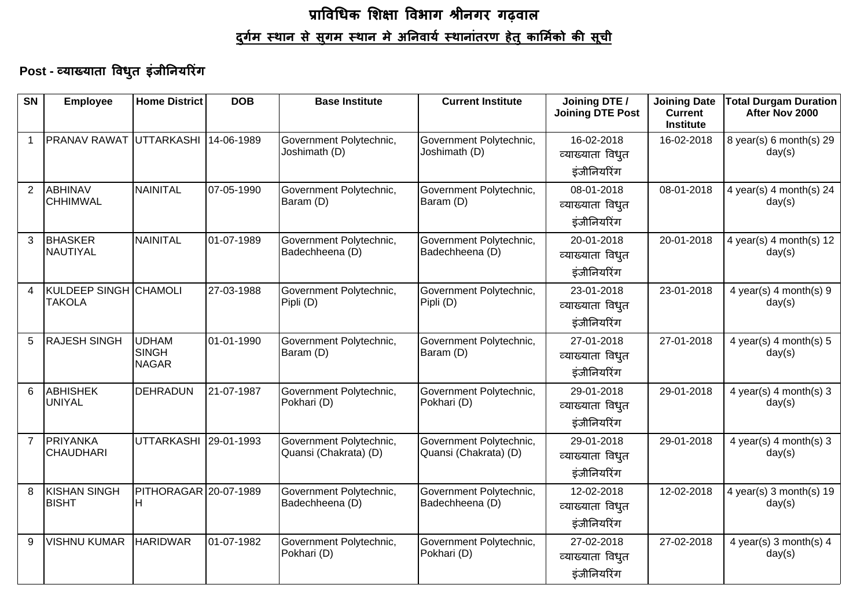# प्राविधिक शिक्षा विभाग श्रीनगर गढ़वाल <u>दुर्गम स्थान से स्थान मे अनिवार्य स्थानांतरण हेतु कार्मिको की सूची</u>

#### Post - व्याख्याता विधुत इंजीनियरिंग

| <b>SN</b>      | <b>Employee</b>                               | <b>Home District</b>                  | <b>DOB</b> | <b>Base Institute</b>                            | <b>Current Institute</b>                         | Joining DTE /<br><b>Joining DTE Post</b>      | <b>Joining Date</b><br><b>Current</b><br><b>Institute</b> | <b>Total Durgam Duration</b><br>After Nov 2000 |
|----------------|-----------------------------------------------|---------------------------------------|------------|--------------------------------------------------|--------------------------------------------------|-----------------------------------------------|-----------------------------------------------------------|------------------------------------------------|
|                | PRANAV RAWAT UTTARKASHI 14-06-1989            |                                       |            | Government Polytechnic,<br>Joshimath (D)         | Government Polytechnic,<br>Joshimath (D)         | 16-02-2018<br>व्याख्याता विधुत<br>इंजीनियरिंग | 16-02-2018                                                | 8 year(s) 6 month(s) 29<br>day(s)              |
| 2              | <b>ABHINAV</b><br><b>CHHIMWAL</b>             | NAINITAL                              | 07-05-1990 | Government Polytechnic,<br>Baram (D)             | Government Polytechnic,<br>Baram (D)             | 08-01-2018<br>व्याख्याता विधुत<br>इंजीनियरिंग | 08-01-2018                                                | 4 year(s) 4 month(s) 24<br>day(s)              |
| 3              | <b>BHASKER</b><br>NAUTIYAL                    | NAINITAL                              | 01-07-1989 | Government Polytechnic,<br>Badechheena (D)       | Government Polytechnic,<br>Badechheena (D)       | 20-01-2018<br>व्याख्याता विधुत<br>इंजीनियरिंग | 20-01-2018                                                | 4 year(s) 4 month(s) 12<br>day(s)              |
| $\overline{4}$ | <b>KULDEEP SINGH CHAMOLI</b><br><b>TAKOLA</b> |                                       | 27-03-1988 | Government Polytechnic,<br>Pipli (D)             | Government Polytechnic,<br>Pipli (D)             | 23-01-2018<br>व्याख्याता विधुत<br>इंजीनियरिंग | 23-01-2018                                                | 4 year(s) $4$ month(s) $9$<br>day(s)           |
| 5              | <b>RAJESH SINGH</b>                           | UDHAM<br><b>SINGH</b><br><b>NAGAR</b> | 01-01-1990 | Government Polytechnic,<br>Baram (D)             | Government Polytechnic,<br>Baram (D)             | 27-01-2018<br>व्याख्याता विधुत<br>इंजीनियरिंग | 27-01-2018                                                | 4 year(s) 4 month(s) $5$<br>day(s)             |
| 6              | <b>ABHISHEK</b><br>UNIYAL                     | DEHRADUN                              | 21-07-1987 | Government Polytechnic,<br>Pokhari (D)           | Government Polytechnic,<br>Pokhari (D)           | 29-01-2018<br>व्याख्याता विधुत<br>इंजीनियरिंग | 29-01-2018                                                | 4 year(s) 4 month(s) $3$<br>day(s)             |
| $\overline{7}$ | PRIYANKA<br><b>CHAUDHARI</b>                  | UTTARKASHI 29-01-1993                 |            | Government Polytechnic,<br>Quansi (Chakrata) (D) | Government Polytechnic,<br>Quansi (Chakrata) (D) | 29-01-2018<br>व्याख्याता विधुत<br>इंजीनियरिंग | 29-01-2018                                                | 4 year(s) 4 month(s) $3$<br>day(s)             |
| 8              | KISHAN SINGH<br><b>BISHT</b>                  | PITHORAGAR 20-07-1989<br>IH.          |            | Government Polytechnic,<br>Badechheena (D)       | Government Polytechnic,<br>Badechheena (D)       | 12-02-2018<br>व्याख्याता विधुत<br>इंजीनियरिंग | 12-02-2018                                                | 4 year(s) $3$ month(s) $19$<br>day(s)          |
| 9              | <b>VISHNU KUMAR</b>                           | <b>HARIDWAR</b>                       | 01-07-1982 | Government Polytechnic,<br>Pokhari (D)           | Government Polytechnic,<br>Pokhari (D)           | 27-02-2018<br>व्याख्याता विधुत<br>इंजीनियरिंग | 27-02-2018                                                | 4 year(s) 3 month(s) $4$<br>day(s)             |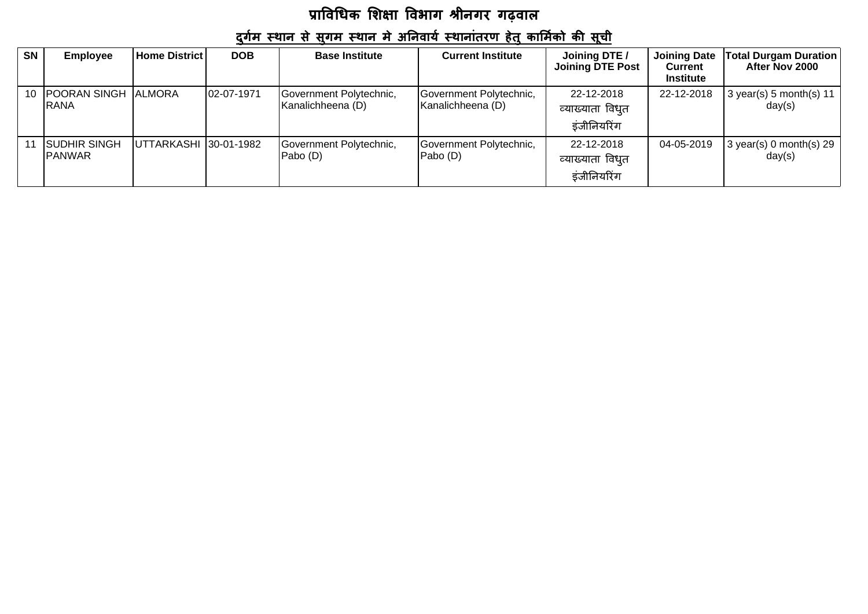### <u>दुर्गम स्थान से सुगम स्थान मे अनिवार्य स्थानांतरण हेतु कार्मिको की सूची</u>

| <b>SN</b> | <b>Employee</b>                        | <b>Home District</b>   | <b>DOB</b> | <b>Base Institute</b>                        | <b>Current Institute</b>                     | Joining DTE /<br><b>Joining DTE Post</b>      | <b>Joining Date</b><br><b>Current</b><br><b>Institute</b> | <b>Total Durgam Duration</b><br>After Nov 2000 |
|-----------|----------------------------------------|------------------------|------------|----------------------------------------------|----------------------------------------------|-----------------------------------------------|-----------------------------------------------------------|------------------------------------------------|
|           | 10 POORAN SINGH ALMORA<br><b>IRANA</b> |                        | 02-07-1971 | Government Polytechnic,<br>Kanalichheena (D) | Government Polytechnic,<br>Kanalichheena (D) | 22-12-2018<br>व्याख्याता विधुत<br>इंजीनियरिंग | 22-12-2018                                                | $3$ year(s) 5 month(s) 11<br>day(s)            |
|           | <b>SUDHIR SINGH</b><br><b>IPANWAR</b>  | UTTARKASHI 130-01-1982 |            | Government Polytechnic,<br>Pabo (D)          | Government Polytechnic,<br>Pabo (D)          | 22-12-2018<br>व्याख्याता विधुत<br>इंजीनियरिंग | 04-05-2019                                                | $3$ year(s) 0 month(s) 29<br>day(s)            |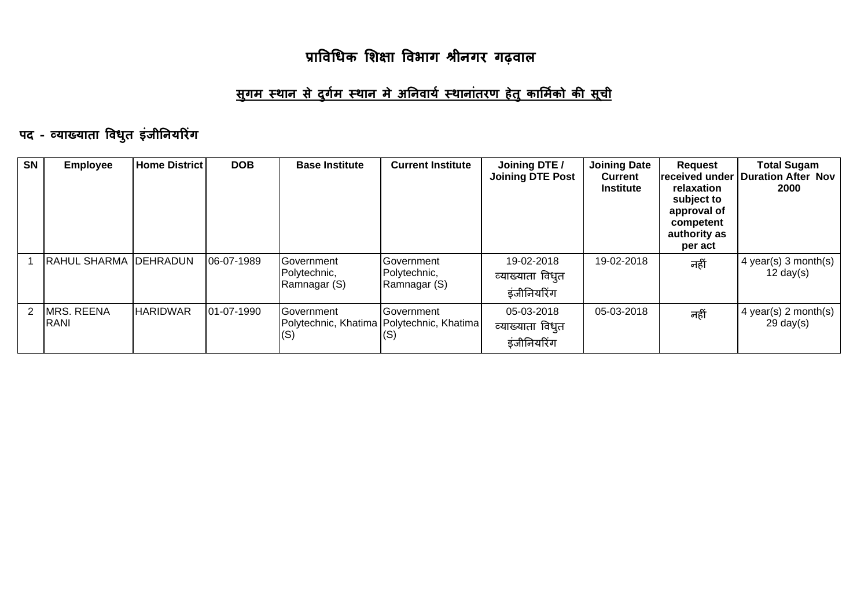#### <u>सुगम स्थान से दुर्गम स्थान मे अनिवार्य स्थानांतरण हेतु कार्मिको की सूची</u>

# पद - व्याख्याता विधुत इंजीनियरिंग

| <b>SN</b>     | <b>Employee</b>                  | <b>Home District</b> | <b>DOB</b> | <b>Base Institute</b>                              | <b>Current Institute</b>                                           | Joining DTE /<br><b>Joining DTE Post</b>      | <b>Joining Date</b><br><b>Current</b><br><b>Institute</b> | <b>Request</b><br>received under<br>relaxation<br>subject to<br>approval of<br>competent<br>authority as<br>per act | <b>Total Sugam</b><br><b>Duration After Nov</b><br>2000 |
|---------------|----------------------------------|----------------------|------------|----------------------------------------------------|--------------------------------------------------------------------|-----------------------------------------------|-----------------------------------------------------------|---------------------------------------------------------------------------------------------------------------------|---------------------------------------------------------|
|               | <b>RAHUL SHARMA DEHRADUN</b>     |                      | 06-07-1989 | <b>IGovernment</b><br>Polytechnic,<br>Ramnagar (S) | Government<br>Polytechnic,<br>Ramnagar (S)                         | 19-02-2018<br>व्याख्याता विधुत<br>इंजीनियरिंग | 19-02-2018                                                | नहीं                                                                                                                | $4$ year(s) 3 month(s)<br>$12 \text{ day}(s)$           |
| $\mathcal{P}$ | <b>MRS. REENA</b><br><b>RANI</b> | <b>HARIDWAR</b>      | 01-07-1990 | <b>IGovernment</b><br>(S)                          | Government<br>Polytechnic, Khatima   Polytechnic, Khatima  <br>(S) | 05-03-2018<br>व्याख्याता विधुत<br>इंजीनियरिंग | 05-03-2018                                                | नहीं                                                                                                                | 4 year(s) 2 month(s)<br>$29 \text{ day}(s)$             |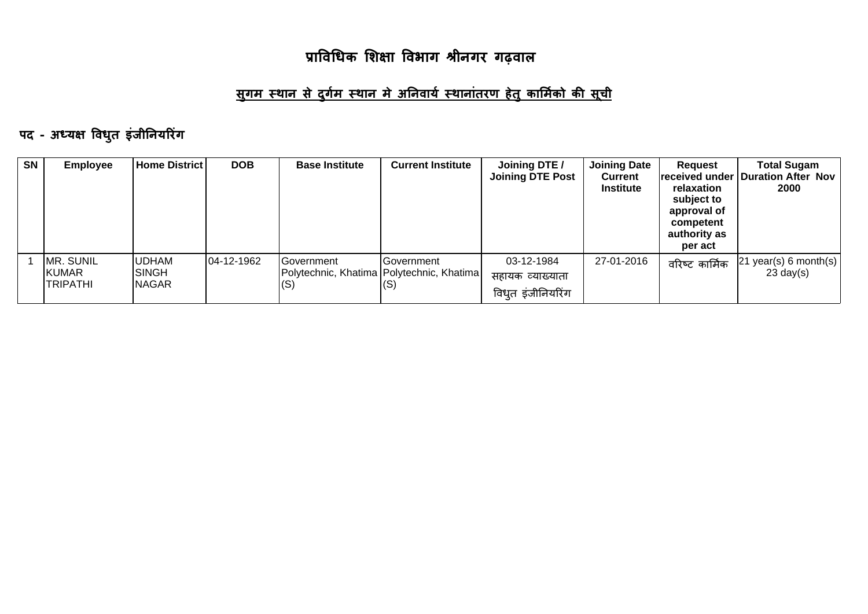#### <u>सुगम स्थान से दुर्गम स्थान मे अनिवार्य स्थानांतरण हेतु कार्मिको की सूची</u>

# पद - अध्यक्ष विधुत इंजीनियरिंग

| <b>SN</b> | <b>Employee</b>                       | Home District                          | <b>DOB</b> | <b>Base Institute</b> | <b>Current Institute</b>                                          | Joining DTE /<br><b>Joining DTE Post</b>            | <b>Joining Date</b><br><b>Current</b><br><b>Institute</b> | Request<br>relaxation<br>subject to<br>approval of<br>competent<br>authority as<br>per act | <b>Total Sugam</b><br>received under   Duration After Nov<br>2000 |
|-----------|---------------------------------------|----------------------------------------|------------|-----------------------|-------------------------------------------------------------------|-----------------------------------------------------|-----------------------------------------------------------|--------------------------------------------------------------------------------------------|-------------------------------------------------------------------|
|           | MR. SUNIL<br>KUMAR<br><b>TRIPATHI</b> | <b>UDHAM</b><br>ISINGH<br><b>NAGAR</b> | 04-12-1962 | IGovernment<br>(S)    | <b>IGovernment</b><br>Polytechnic, Khatima   Polytechnic, Khatima | 03-12-1984<br>सहायक व्याख्याता<br>विधुत इंजीनियरिंग | 27-01-2016                                                | वरिष्ट कार्मिक                                                                             | year(s) 6 month(s)<br>$23 \text{ day}(s)$                         |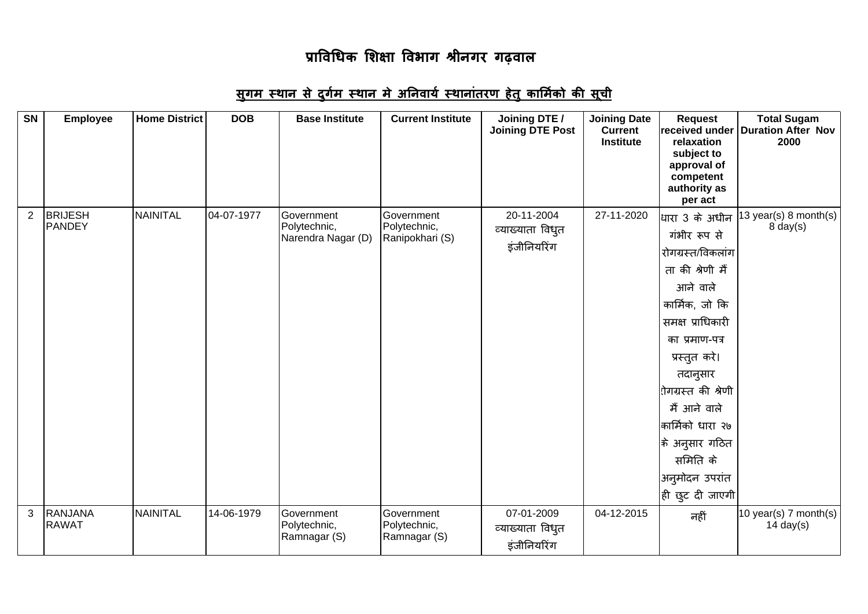### <u>सुगम स्थान से दुर्गम स्थान मे अनिवार्य स्थानांतरण हेतु कार्मिको की सूची</u>

| <b>SN</b>      | <b>Employee</b>                | <b>Home District</b> | <b>DOB</b> | <b>Base Institute</b>                            | <b>Current Institute</b>                      | Joining DTE /<br><b>Joining DTE Post</b>      | <b>Joining Date</b><br><b>Current</b><br><b>Institute</b> | <b>Request</b><br>relaxation<br>subject to<br>approval of<br>competent<br>authority as<br>per act                                                                                                                                                                                                       | <b>Total Sugam</b><br>received under Duration After Nov<br>2000 |
|----------------|--------------------------------|----------------------|------------|--------------------------------------------------|-----------------------------------------------|-----------------------------------------------|-----------------------------------------------------------|---------------------------------------------------------------------------------------------------------------------------------------------------------------------------------------------------------------------------------------------------------------------------------------------------------|-----------------------------------------------------------------|
| $\overline{2}$ | <b>BRIJESH</b><br>PANDEY       | NAINITAL             | 04-07-1977 | Government<br>Polytechnic,<br>Narendra Nagar (D) | Government<br>Polytechnic,<br>Ranipokhari (S) | 20-11-2004<br>व्याख्याता विधुत<br>इंजीनियरिंग | 27-11-2020                                                | धारा 3 के अधीन<br>गंभीर रूप से<br>रोगग्रस्त/विकलांग<br>ता की श्रेणी मैं<br>आने वाले<br>कार्मिक, जो कि<br>समक्ष प्राधिकारी<br>का प्रमाण-पत्र<br>प्रस्तुत करे।<br>तदानुसार<br>रोगग्रस्त की श्रेणी<br>मैं आने वाले<br>कार्मिको धारा २७<br> के अनुसार गठित<br>समिति के<br>अनुमोदन उपरांत<br>ही छुट दी जाएगी | 13 year(s) 8 month(s)<br>$8$ day $(s)$                          |
| 3              | <b>RANJANA</b><br><b>RAWAT</b> | NAINITAL             | 14-06-1979 | Government<br>Polytechnic,<br>Ramnagar (S)       | Government<br>Polytechnic,<br>Ramnagar (S)    | 07-01-2009<br>व्याख्याता विधुत<br>इंजीनियरिंग | 04-12-2015                                                | नहीं                                                                                                                                                                                                                                                                                                    | 10 year(s) 7 month(s)<br>14 day $(s)$                           |